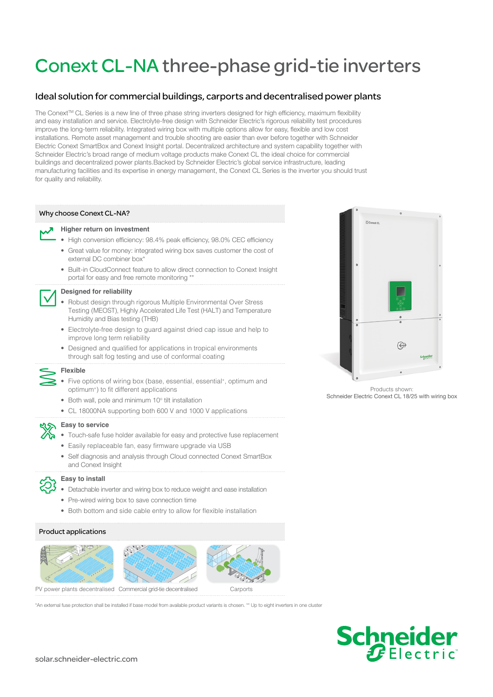# Conext CL-NA three-phase grid-tie inverters

## Ideal solution for commercial buildings, carports and decentralised power plants

The Conext™ CL Series is a new line of three phase string inverters designed for high efficiency, maximum flexibility and easy installation and service. Electrolyte-free design with Schneider Electric's rigorous reliability test procedures improve the long-term reliability. Integrated wiring box with multiple options allow for easy, flexible and low cost installations. Remote asset management and trouble shooting are easier than ever before together with Schneider Electric Conext SmartBox and Conext Insight portal. Decentralized architecture and system capability together with Schneider Electric's broad range of medium voltage products make Conext CL the ideal choice for commercial buildings and decentralized power plants.Backed by Schneider Electric's global service infrastructure, leading manufacturing facilities and its expertise in energy management, the Conext CL Series is the inverter you should trust for quality and reliability.

### Why choose Conext CL-NA?

#### **Higher return on investment**

- High conversion efficiency: 98.4% peak efficiency, 98.0% CEC efficiency
- Great value for money: integrated wiring box saves customer the cost of external DC combiner box<sup>\*</sup>
- Built-in CloudConnect feature to allow direct connection to Conext Insight portal for easy and free remote monitoring \*\*

#### **Designed for reliability**

- Robust design through rigorous Multiple Environmental Over Stress Testing (MEOST), Highly Accelerated Life Test (HALT) and Temperature Humidity and Bias testing (THB)
- Electrolyte-free design to guard against dried cap issue and help to improve long term reliability
- Designed and qualified for applications in tropical environments through salt fog testing and use of conformal coating

#### **Flexible**

- Five options of wiring box (base, essential, essential+, optimum and optimum+) to fit different applications
- Both wall, pole and minimum 10° tilt installation
- CL 18000NA supporting both 600 V and 1000 V applications

#### **Easy to service**

- Touch-safe fuse holder available for easy and protective fuse replacement
- Easily replaceable fan, easy firmware upgrade via USB
- Self diagnosis and analysis through Cloud connected Conext SmartBox and Conext Insight



#### **Easy to install**

- Detachable inverter and wiring box to reduce weight and ease installation
- Pre-wired wiring box to save connection time
- Both bottom and side cable entry to allow for flexible installation

#### Product applications







PV power plants decentralised Commercial grid-tie decentralised Carports

\*An external fuse protection shall be installed if base model from available product variants is chosen. \*\* Up to eight inverters in one cluster



Products shown: Schneider Electric Conext CL 18/25 with wiring box